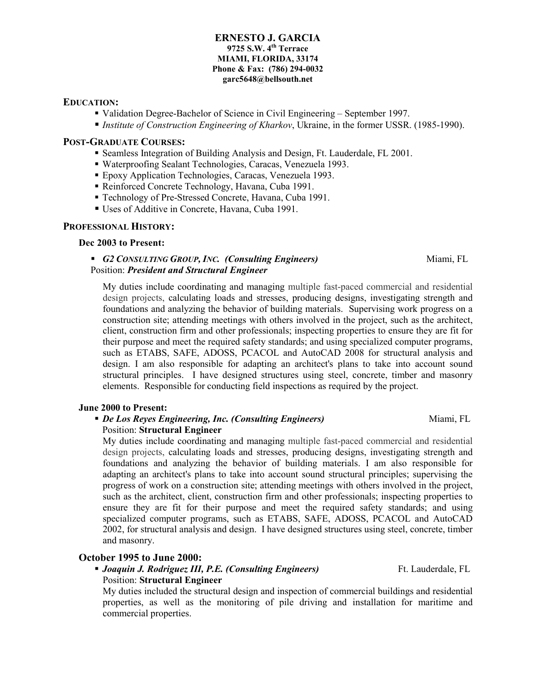#### **ERNESTO J. GARCIA 9725 S.W. 4th Terrace MIAMI, FLORIDA, 33174 Phone & Fax: (786) 294-0032 garc5648@bellsouth.net**

## **EDUCATION:**

Validation Degree-Bachelor of Science in Civil Engineering – September 1997.

*Institute of Construction Engineering of Kharkov*, Ukraine, in the former USSR. (1985-1990).

#### **POST-GRADUATE COURSES:**

- Seamless Integration of Building Analysis and Design, Ft. Lauderdale, FL 2001.
- Waterproofing Sealant Technologies, Caracas, Venezuela 1993.
- Epoxy Application Technologies, Caracas, Venezuela 1993.
- Reinforced Concrete Technology, Havana, Cuba 1991.
- Technology of Pre-Stressed Concrete, Havana, Cuba 1991.
- Uses of Additive in Concrete, Havana, Cuba 1991.

### **PROFESSIONAL HISTORY:**

#### **Dec 2003 to Present:**

#### *G2 CONSULTING GROUP, INC. (Consulting Engineers)* Miami, FL Position: *President and Structural Engineer*

My duties include coordinating and managing multiple fast-paced commercial and residential design projects, calculating loads and stresses, producing designs, investigating strength and foundations and analyzing the behavior of building materials. Supervising work progress on a construction site; attending meetings with others involved in the project, such as the architect, client, construction firm and other professionals; inspecting properties to ensure they are fit for their purpose and meet the required safety standards; and using specialized computer programs, such as ETABS, SAFE, ADOSS, PCACOL and AutoCAD 2008 for structural analysis and design. I am also responsible for adapting an architect's plans to take into account sound structural principles. I have designed structures using steel, concrete, timber and masonry elements. Responsible for conducting field inspections as required by the project.

#### **June 2000 to Present:**

#### *De Los Reyes Engineering, Inc. (Consulting Engineers)* **Miami, FL Miami, FL** Position: **Structural Engineer**

My duties include coordinating and managing multiple fast-paced commercial and residential design projects, calculating loads and stresses, producing designs, investigating strength and foundations and analyzing the behavior of building materials. I am also responsible for adapting an architect's plans to take into account sound structural principles; supervising the progress of work on a construction site; attending meetings with others involved in the project, such as the architect, client, construction firm and other professionals; inspecting properties to ensure they are fit for their purpose and meet the required safety standards; and using specialized computer programs, such as ETABS, SAFE, ADOSS, PCACOL and AutoCAD 2002, for structural analysis and design. I have designed structures using steel, concrete, timber and masonry.

# **October 1995 to June 2000:**

## **Joaquin J. Rodriguez III, P.E. (Consulting Engineers)** Ft. Lauderdale, FL Position: **Structural Engineer**

My duties included the structural design and inspection of commercial buildings and residential properties, as well as the monitoring of pile driving and installation for maritime and commercial properties.